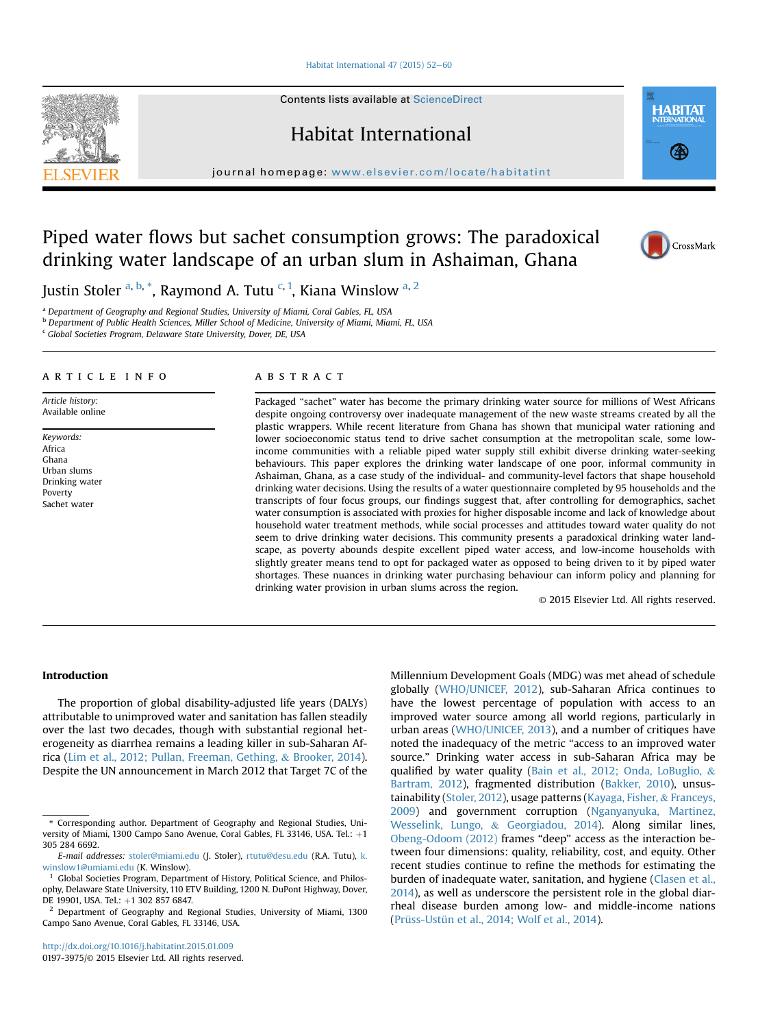Habitat International  $47$  (2015) 52-[60](http://dx.doi.org/10.1016/j.habitatint.2015.01.009)

Contents lists available at ScienceDirect

Habitat International

journal homepage: [www.elsevier.com/locate/habitatint](http://www.elsevier.com/locate/habitatint)

# Piped water flows but sachet consumption grows: The paradoxical drinking water landscape of an urban slum in Ashaiman, Ghana

Justin Stoler <sup>a, b,</sup> \*, Raymond A. Tutu <sup>c, 1</sup>, Kiana Winslow <sup>a, 2</sup>

<sup>a</sup> Department of Geography and Regional Studies, University of Miami, Coral Gables, FL, USA

<sup>b</sup> Department of Public Health Sciences, Miller School of Medicine, University of Miami, Miami, FL, USA

<sup>c</sup> Global Societies Program, Delaware State University, Dover, DE, USA

## article info

Article history: Available online

Keywords: Africa Ghana Urban slums Drinking water Poverty Sachet water

# **ABSTRACT**

Packaged "sachet" water has become the primary drinking water source for millions of West Africans despite ongoing controversy over inadequate management of the new waste streams created by all the plastic wrappers. While recent literature from Ghana has shown that municipal water rationing and lower socioeconomic status tend to drive sachet consumption at the metropolitan scale, some lowincome communities with a reliable piped water supply still exhibit diverse drinking water-seeking behaviours. This paper explores the drinking water landscape of one poor, informal community in Ashaiman, Ghana, as a case study of the individual- and community-level factors that shape household drinking water decisions. Using the results of a water questionnaire completed by 95 households and the transcripts of four focus groups, our findings suggest that, after controlling for demographics, sachet water consumption is associated with proxies for higher disposable income and lack of knowledge about household water treatment methods, while social processes and attitudes toward water quality do not seem to drive drinking water decisions. This community presents a paradoxical drinking water landscape, as poverty abounds despite excellent piped water access, and low-income households with slightly greater means tend to opt for packaged water as opposed to being driven to it by piped water shortages. These nuances in drinking water purchasing behaviour can inform policy and planning for drinking water provision in urban slums across the region.

© 2015 Elsevier Ltd. All rights reserved.

# Introduction

The proportion of global disability-adjusted life years (DALYs) attributable to unimproved water and sanitation has fallen steadily over the last two decades, though with substantial regional heterogeneity as diarrhea remains a leading killer in sub-Saharan Africa ([Lim et al., 2012; Pullan, Freeman, Gething,](#page-8-0) & [Brooker, 2014\)](#page-8-0). Despite the UN announcement in March 2012 that Target 7C of the

<http://dx.doi.org/10.1016/j.habitatint.2015.01.009> 0197-3975/© 2015 Elsevier Ltd. All rights reserved. Millennium Development Goals (MDG) was met ahead of schedule globally [\(WHO/UNICEF, 2012\)](#page-8-0), sub-Saharan Africa continues to have the lowest percentage of population with access to an improved water source among all world regions, particularly in urban areas [\(WHO/UNICEF, 2013\)](#page-8-0), and a number of critiques have noted the inadequacy of the metric "access to an improved water source." Drinking water access in sub-Saharan Africa may be qualified by water quality ([Bain et al., 2012; Onda, LoBuglio,](#page-8-0) & [Bartram, 2012](#page-8-0)), fragmented distribution ([Bakker, 2010\)](#page-8-0), unsustainability ([Stoler, 2012](#page-8-0)), usage patterns [\(Kayaga, Fisher,](#page-8-0) & [Franceys,](#page-8-0) [2009](#page-8-0)) and government corruption ([Nganyanyuka, Martinez,](#page-8-0) [Wesselink, Lungo,](#page-8-0) & [Georgiadou, 2014\)](#page-8-0). Along similar lines, [Obeng-Odoom \(2012\)](#page-8-0) frames "deep" access as the interaction between four dimensions: quality, reliability, cost, and equity. Other recent studies continue to refine the methods for estimating the burden of inadequate water, sanitation, and hygiene [\(Clasen et al.,](#page-8-0) [2014\)](#page-8-0), as well as underscore the persistent role in the global diarrheal disease burden among low- and middle-income nations ([Prüss-Ustün et al., 2014; Wolf et al., 2014](#page-8-0)).





**HABITAT** 

(名)

<sup>\*</sup> Corresponding author. Department of Geography and Regional Studies, University of Miami, 1300 Campo Sano Avenue, Coral Gables, FL 33146, USA. Tel.:  $+1$ 305 284 6692.

E-mail addresses: [stoler@miami.edu](mailto:stoler@miami.edu) (J. Stoler), [rtutu@desu.edu](mailto:rtutu@desu.edu) (R.A. Tutu), [k.](mailto:k.winslow1@umiami.edu) [winslow1@umiami.edu](mailto:k.winslow1@umiami.edu) (K. Winslow).

<sup>1</sup> Global Societies Program, Department of History, Political Science, and Philosophy, Delaware State University, 110 ETV Building, 1200 N. DuPont Highway, Dover, DE 19901, USA. Tel.: +1 302 857 6847.<br><sup>2</sup> Department of Geography and Regional Studies, University of Miami, 1300

Campo Sano Avenue, Coral Gables, FL 33146, USA.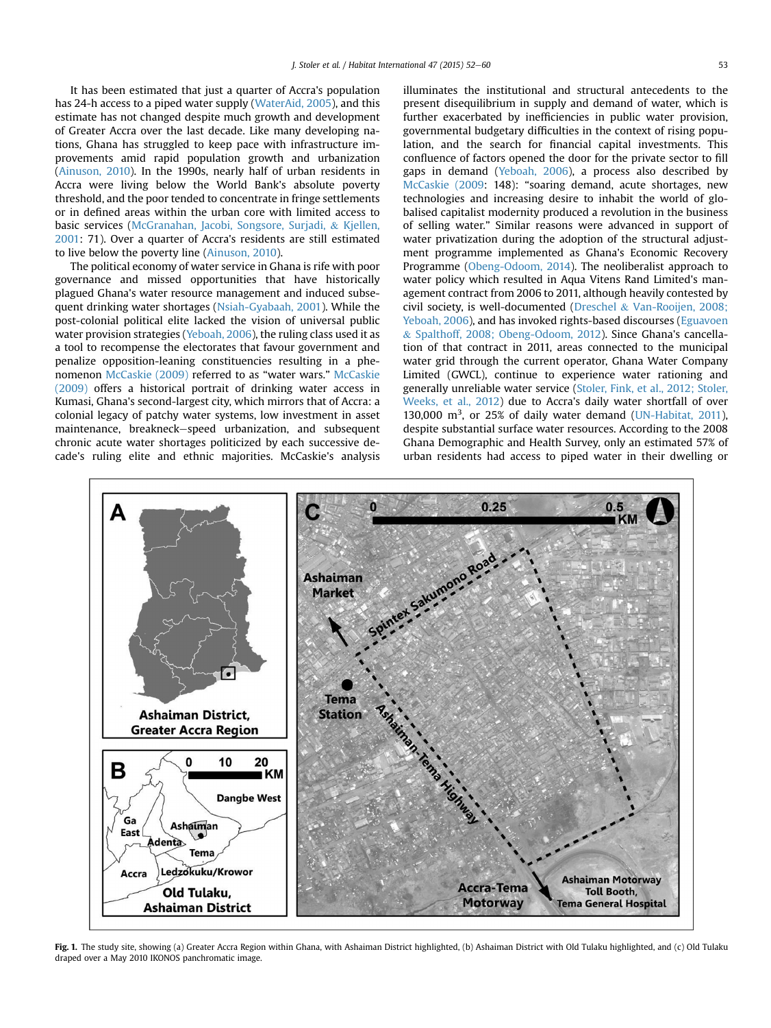<span id="page-1-0"></span>It has been estimated that just a quarter of Accra's population has 24-h access to a piped water supply [\(WaterAid, 2005](#page-8-0)), and this estimate has not changed despite much growth and development of Greater Accra over the last decade. Like many developing nations, Ghana has struggled to keep pace with infrastructure improvements amid rapid population growth and urbanization ([Ainuson, 2010\)](#page-8-0). In the 1990s, nearly half of urban residents in Accra were living below the World Bank's absolute poverty threshold, and the poor tended to concentrate in fringe settlements or in defined areas within the urban core with limited access to basic services ([McGranahan, Jacobi, Songsore, Surjadi,](#page-8-0) & [Kjellen,](#page-8-0) [2001:](#page-8-0) 71). Over a quarter of Accra's residents are still estimated to live below the poverty line [\(Ainuson, 2010\)](#page-8-0).

The political economy of water service in Ghana is rife with poor governance and missed opportunities that have historically plagued Ghana's water resource management and induced subsequent drinking water shortages ([Nsiah-Gyabaah, 2001](#page-8-0)). While the post-colonial political elite lacked the vision of universal public water provision strategies [\(Yeboah, 2006](#page-8-0)), the ruling class used it as a tool to recompense the electorates that favour government and penalize opposition-leaning constituencies resulting in a phenomenon [McCaskie \(2009\)](#page-8-0) referred to as "water wars." [McCaskie](#page-8-0) [\(2009\)](#page-8-0) offers a historical portrait of drinking water access in Kumasi, Ghana's second-largest city, which mirrors that of Accra: a colonial legacy of patchy water systems, low investment in asset maintenance, breakneck–speed urbanization, and subsequent chronic acute water shortages politicized by each successive decade's ruling elite and ethnic majorities. McCaskie's analysis illuminates the institutional and structural antecedents to the present disequilibrium in supply and demand of water, which is further exacerbated by inefficiencies in public water provision, governmental budgetary difficulties in the context of rising population, and the search for financial capital investments. This confluence of factors opened the door for the private sector to fill gaps in demand [\(Yeboah, 2006](#page-8-0)), a process also described by [McCaskie \(2009:](#page-8-0) 148): "soaring demand, acute shortages, new technologies and increasing desire to inhabit the world of globalised capitalist modernity produced a revolution in the business of selling water." Similar reasons were advanced in support of water privatization during the adoption of the structural adjustment programme implemented as Ghana's Economic Recovery Programme ([Obeng-Odoom, 2014\)](#page-8-0). The neoliberalist approach to water policy which resulted in Aqua Vitens Rand Limited's management contract from 2006 to 2011, although heavily contested by civil society, is well-documented ([Dreschel](#page-8-0) & [Van-Rooijen, 2008;](#page-8-0) [Yeboah, 2006](#page-8-0)), and has invoked rights-based discourses [\(Eguavoen](#page-8-0) & [Spalthoff, 2008; Obeng-Odoom, 2012](#page-8-0)). Since Ghana's cancellation of that contract in 2011, areas connected to the municipal water grid through the current operator, Ghana Water Company Limited (GWCL), continue to experience water rationing and generally unreliable water service ([Stoler, Fink, et al., 2012; Stoler,](#page-8-0) [Weeks, et al., 2012](#page-8-0)) due to Accra's daily water shortfall of over 130,000  $m^3$ , or 25% of daily water demand ([UN-Habitat, 2011\)](#page-8-0), despite substantial surface water resources. According to the 2008 Ghana Demographic and Health Survey, only an estimated 57% of urban residents had access to piped water in their dwelling or



Fig. 1. The study site, showing (a) Greater Accra Region within Ghana, with Ashaiman District (b) Ashaiman District with Old Tulaku highlighted, and (c) Old Tulaku draped over a May 2010 IKONOS panchromatic image.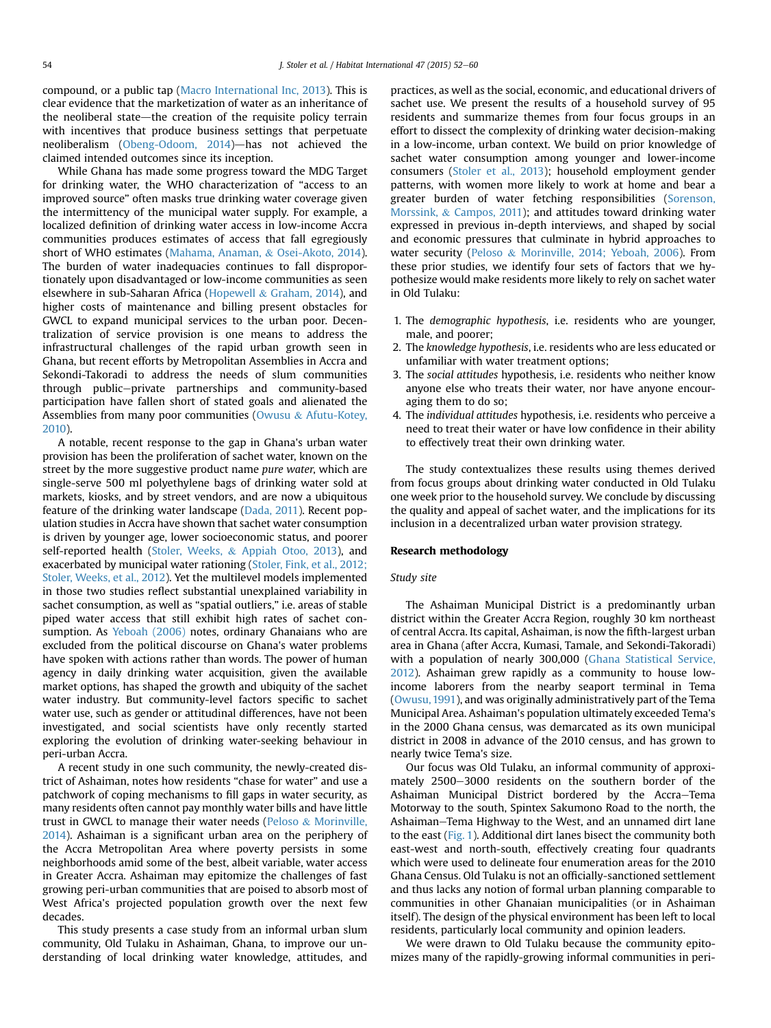compound, or a public tap [\(Macro International Inc, 2013\)](#page-8-0). This is clear evidence that the marketization of water as an inheritance of the neoliberal state—the creation of the requisite policy terrain with incentives that produce business settings that perpetuate neoliberalism ([Obeng-Odoom, 2014](#page-8-0))-has not achieved the claimed intended outcomes since its inception.

While Ghana has made some progress toward the MDG Target for drinking water, the WHO characterization of "access to an improved source" often masks true drinking water coverage given the intermittency of the municipal water supply. For example, a localized definition of drinking water access in low-income Accra communities produces estimates of access that fall egregiously short of WHO estimates ([Mahama, Anaman,](#page-8-0) & [Osei-Akoto, 2014\)](#page-8-0). The burden of water inadequacies continues to fall disproportionately upon disadvantaged or low-income communities as seen elsewhere in sub-Saharan Africa [\(Hopewell](#page-8-0) & [Graham, 2014](#page-8-0)), and higher costs of maintenance and billing present obstacles for GWCL to expand municipal services to the urban poor. Decentralization of service provision is one means to address the infrastructural challenges of the rapid urban growth seen in Ghana, but recent efforts by Metropolitan Assemblies in Accra and Sekondi-Takoradi to address the needs of slum communities through public-private partnerships and community-based participation have fallen short of stated goals and alienated the Assemblies from many poor communities [\(Owusu](#page-8-0) & [Afutu-Kotey,](#page-8-0) [2010](#page-8-0)).

A notable, recent response to the gap in Ghana's urban water provision has been the proliferation of sachet water, known on the street by the more suggestive product name pure water, which are single-serve 500 ml polyethylene bags of drinking water sold at markets, kiosks, and by street vendors, and are now a ubiquitous feature of the drinking water landscape [\(Dada, 2011\)](#page-8-0). Recent population studies in Accra have shown that sachet water consumption is driven by younger age, lower socioeconomic status, and poorer self-reported health [\(Stoler, Weeks,](#page-8-0) & [Appiah Otoo, 2013\)](#page-8-0), and exacerbated by municipal water rationing [\(Stoler, Fink, et al., 2012;](#page-8-0) [Stoler, Weeks, et al., 2012\)](#page-8-0). Yet the multilevel models implemented in those two studies reflect substantial unexplained variability in sachet consumption, as well as "spatial outliers," i.e. areas of stable piped water access that still exhibit high rates of sachet consumption. As [Yeboah \(2006\)](#page-8-0) notes, ordinary Ghanaians who are excluded from the political discourse on Ghana's water problems have spoken with actions rather than words. The power of human agency in daily drinking water acquisition, given the available market options, has shaped the growth and ubiquity of the sachet water industry. But community-level factors specific to sachet water use, such as gender or attitudinal differences, have not been investigated, and social scientists have only recently started exploring the evolution of drinking water-seeking behaviour in peri-urban Accra.

A recent study in one such community, the newly-created district of Ashaiman, notes how residents "chase for water" and use a patchwork of coping mechanisms to fill gaps in water security, as many residents often cannot pay monthly water bills and have little trust in GWCL to manage their water needs [\(Peloso](#page-8-0) & [Morinville,](#page-8-0) [2014](#page-8-0)). Ashaiman is a significant urban area on the periphery of the Accra Metropolitan Area where poverty persists in some neighborhoods amid some of the best, albeit variable, water access in Greater Accra. Ashaiman may epitomize the challenges of fast growing peri-urban communities that are poised to absorb most of West Africa's projected population growth over the next few decades.

This study presents a case study from an informal urban slum community, Old Tulaku in Ashaiman, Ghana, to improve our understanding of local drinking water knowledge, attitudes, and practices, as well as the social, economic, and educational drivers of sachet use. We present the results of a household survey of 95 residents and summarize themes from four focus groups in an effort to dissect the complexity of drinking water decision-making in a low-income, urban context. We build on prior knowledge of sachet water consumption among younger and lower-income consumers ([Stoler et al., 2013](#page-8-0)); household employment gender patterns, with women more likely to work at home and bear a greater burden of water fetching responsibilities [\(Sorenson,](#page-8-0) [Morssink,](#page-8-0) & [Campos, 2011\)](#page-8-0); and attitudes toward drinking water expressed in previous in-depth interviews, and shaped by social and economic pressures that culminate in hybrid approaches to water security [\(Peloso](#page-8-0) & [Morinville, 2014; Yeboah, 2006\)](#page-8-0). From these prior studies, we identify four sets of factors that we hypothesize would make residents more likely to rely on sachet water in Old Tulaku:

- 1. The demographic hypothesis, i.e. residents who are younger, male, and poorer;
- 2. The knowledge hypothesis, i.e. residents who are less educated or unfamiliar with water treatment options;
- 3. The social attitudes hypothesis, i.e. residents who neither know anyone else who treats their water, nor have anyone encouraging them to do so;
- 4. The individual attitudes hypothesis, i.e. residents who perceive a need to treat their water or have low confidence in their ability to effectively treat their own drinking water.

The study contextualizes these results using themes derived from focus groups about drinking water conducted in Old Tulaku one week prior to the household survey. We conclude by discussing the quality and appeal of sachet water, and the implications for its inclusion in a decentralized urban water provision strategy.

#### Research methodology

#### Study site

The Ashaiman Municipal District is a predominantly urban district within the Greater Accra Region, roughly 30 km northeast of central Accra. Its capital, Ashaiman, is now the fifth-largest urban area in Ghana (after Accra, Kumasi, Tamale, and Sekondi-Takoradi) with a population of nearly 300,000 ([Ghana Statistical Service,](#page-8-0) [2012](#page-8-0)). Ashaiman grew rapidly as a community to house lowincome laborers from the nearby seaport terminal in Tema ([Owusu, 1991](#page-8-0)), and was originally administratively part of the Tema Municipal Area. Ashaiman's population ultimately exceeded Tema's in the 2000 Ghana census, was demarcated as its own municipal district in 2008 in advance of the 2010 census, and has grown to nearly twice Tema's size.

Our focus was Old Tulaku, an informal community of approximately 2500-3000 residents on the southern border of the Ashaiman Municipal District bordered by the Accra-Tema Motorway to the south, Spintex Sakumono Road to the north, the Ashaiman–Tema Highway to the West, and an unnamed dirt lane to the east [\(Fig. 1](#page-1-0)). Additional dirt lanes bisect the community both east-west and north-south, effectively creating four quadrants which were used to delineate four enumeration areas for the 2010 Ghana Census. Old Tulaku is not an officially-sanctioned settlement and thus lacks any notion of formal urban planning comparable to communities in other Ghanaian municipalities (or in Ashaiman itself). The design of the physical environment has been left to local residents, particularly local community and opinion leaders.

We were drawn to Old Tulaku because the community epitomizes many of the rapidly-growing informal communities in peri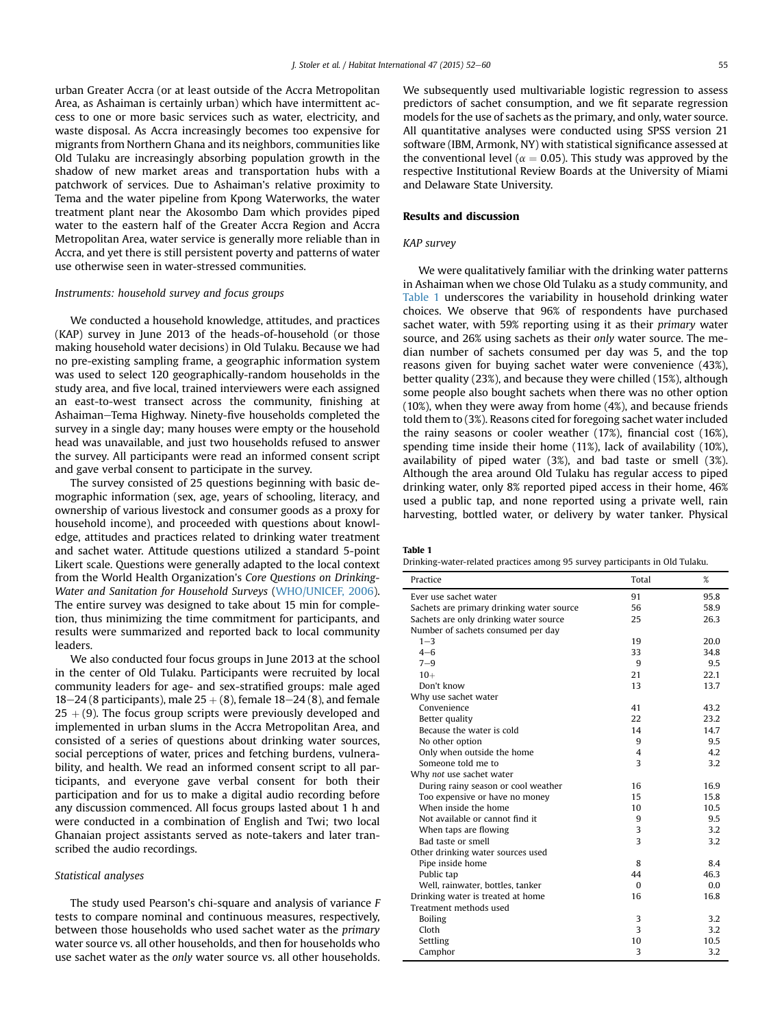<span id="page-3-0"></span>urban Greater Accra (or at least outside of the Accra Metropolitan Area, as Ashaiman is certainly urban) which have intermittent access to one or more basic services such as water, electricity, and waste disposal. As Accra increasingly becomes too expensive for migrants from Northern Ghana and its neighbors, communities like Old Tulaku are increasingly absorbing population growth in the shadow of new market areas and transportation hubs with a patchwork of services. Due to Ashaiman's relative proximity to Tema and the water pipeline from Kpong Waterworks, the water treatment plant near the Akosombo Dam which provides piped water to the eastern half of the Greater Accra Region and Accra Metropolitan Area, water service is generally more reliable than in Accra, and yet there is still persistent poverty and patterns of water use otherwise seen in water-stressed communities.

#### Instruments: household survey and focus groups

We conducted a household knowledge, attitudes, and practices (KAP) survey in June 2013 of the heads-of-household (or those making household water decisions) in Old Tulaku. Because we had no pre-existing sampling frame, a geographic information system was used to select 120 geographically-random households in the study area, and five local, trained interviewers were each assigned an east-to-west transect across the community, finishing at Ashaiman-Tema Highway. Ninety-five households completed the survey in a single day; many houses were empty or the household head was unavailable, and just two households refused to answer the survey. All participants were read an informed consent script and gave verbal consent to participate in the survey.

The survey consisted of 25 questions beginning with basic demographic information (sex, age, years of schooling, literacy, and ownership of various livestock and consumer goods as a proxy for household income), and proceeded with questions about knowledge, attitudes and practices related to drinking water treatment and sachet water. Attitude questions utilized a standard 5-point Likert scale. Questions were generally adapted to the local context from the World Health Organization's Core Questions on Drinking-Water and Sanitation for Household Surveys [\(WHO/UNICEF, 2006\)](#page-8-0). The entire survey was designed to take about 15 min for completion, thus minimizing the time commitment for participants, and results were summarized and reported back to local community leaders.

We also conducted four focus groups in June 2013 at the school in the center of Old Tulaku. Participants were recruited by local community leaders for age- and sex-stratified groups: male aged 18–24 (8 participants), male  $25 + (8)$ , female 18–24 (8), and female  $25 + (9)$ . The focus group scripts were previously developed and implemented in urban slums in the Accra Metropolitan Area, and consisted of a series of questions about drinking water sources, social perceptions of water, prices and fetching burdens, vulnerability, and health. We read an informed consent script to all participants, and everyone gave verbal consent for both their participation and for us to make a digital audio recording before any discussion commenced. All focus groups lasted about 1 h and were conducted in a combination of English and Twi; two local Ghanaian project assistants served as note-takers and later transcribed the audio recordings.

#### Statistical analyses

The study used Pearson's chi-square and analysis of variance F tests to compare nominal and continuous measures, respectively, between those households who used sachet water as the primary water source vs. all other households, and then for households who use sachet water as the only water source vs. all other households.

We subsequently used multivariable logistic regression to assess predictors of sachet consumption, and we fit separate regression models for the use of sachets as the primary, and only, water source. All quantitative analyses were conducted using SPSS version 21 software (IBM, Armonk, NY) with statistical significance assessed at the conventional level ( $\alpha = 0.05$ ). This study was approved by the respective Institutional Review Boards at the University of Miami and Delaware State University.

# Results and discussion

#### KAP survey

We were qualitatively familiar with the drinking water patterns in Ashaiman when we chose Old Tulaku as a study community, and Table 1 underscores the variability in household drinking water choices. We observe that 96% of respondents have purchased sachet water, with 59% reporting using it as their primary water source, and 26% using sachets as their only water source. The median number of sachets consumed per day was 5, and the top reasons given for buying sachet water were convenience (43%), better quality (23%), and because they were chilled (15%), although some people also bought sachets when there was no other option (10%), when they were away from home (4%), and because friends told them to (3%). Reasons cited for foregoing sachet water included the rainy seasons or cooler weather (17%), financial cost (16%), spending time inside their home (11%), lack of availability (10%), availability of piped water (3%), and bad taste or smell (3%). Although the area around Old Tulaku has regular access to piped drinking water, only 8% reported piped access in their home, 46% used a public tap, and none reported using a private well, rain harvesting, bottled water, or delivery by water tanker. Physical

|--|--|

| Drinking-water-related practices among 95 survey participants in Old Tulaku. |  |  |  |  |  |  |
|------------------------------------------------------------------------------|--|--|--|--|--|--|
|------------------------------------------------------------------------------|--|--|--|--|--|--|

| Practice                                  | Total                   | %    |
|-------------------------------------------|-------------------------|------|
| Ever use sachet water                     | 91                      | 95.8 |
| Sachets are primary drinking water source | 56                      | 58.9 |
| Sachets are only drinking water source    | 25                      | 26.3 |
| Number of sachets consumed per day        |                         |      |
| $1 - 3$                                   | 19                      | 20.0 |
| $4 - 6$                                   | 33                      | 34.8 |
| $7 - 9$                                   | q                       | 9.5  |
| $10+$                                     | 21                      | 22.1 |
| Don't know                                | 13                      | 13.7 |
| Why use sachet water                      |                         |      |
| Convenience                               | 41                      | 43.2 |
| Better quality                            | 22                      | 23.2 |
| Because the water is cold                 | 14                      | 14.7 |
| No other option                           | 9                       | 9.5  |
| Only when outside the home                | 4                       | 4.2  |
| Someone told me to                        | 3                       | 3.2  |
| Why not use sachet water                  |                         |      |
| During rainy season or cool weather       | 16                      | 16.9 |
| Too expensive or have no money            | 15                      | 15.8 |
| When inside the home                      | 10                      | 10.5 |
| Not available or cannot find it           | 9                       | 9.5  |
| When taps are flowing                     | 3                       | 3.2  |
| Bad taste or smell                        | $\overline{\mathbf{3}}$ | 3.2  |
| Other drinking water sources used         |                         |      |
| Pipe inside home                          | 8                       | 8.4  |
| Public tap                                | 44                      | 46.3 |
| Well, rainwater, bottles, tanker          | $\Omega$                | 0.0  |
| Drinking water is treated at home         | 16                      | 16.8 |
| Treatment methods used                    |                         |      |
| Boiling                                   | 3                       | 3.2  |
| Cloth                                     | 3                       | 3.2  |
| Settling                                  | 10                      | 10.5 |
| Camphor                                   | 3                       | 3.2  |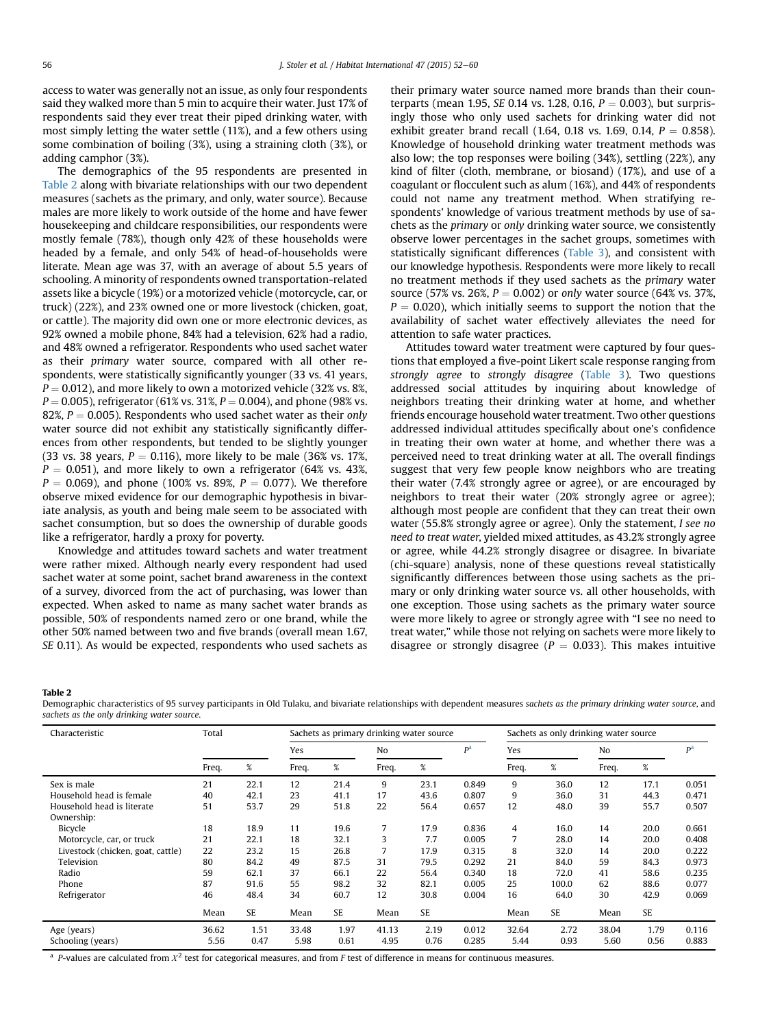<span id="page-4-0"></span>access to water was generally not an issue, as only four respondents said they walked more than 5 min to acquire their water. Just 17% of respondents said they ever treat their piped drinking water, with most simply letting the water settle (11%), and a few others using some combination of boiling (3%), using a straining cloth (3%), or adding camphor (3%).

The demographics of the 95 respondents are presented in Table 2 along with bivariate relationships with our two dependent measures (sachets as the primary, and only, water source). Because males are more likely to work outside of the home and have fewer housekeeping and childcare responsibilities, our respondents were mostly female (78%), though only 42% of these households were headed by a female, and only 54% of head-of-households were literate. Mean age was 37, with an average of about 5.5 years of schooling. A minority of respondents owned transportation-related assets like a bicycle (19%) or a motorized vehicle (motorcycle, car, or truck) (22%), and 23% owned one or more livestock (chicken, goat, or cattle). The majority did own one or more electronic devices, as 92% owned a mobile phone, 84% had a television, 62% had a radio, and 48% owned a refrigerator. Respondents who used sachet water as their primary water source, compared with all other respondents, were statistically significantly younger (33 vs. 41 years,  $P = 0.012$ ), and more likely to own a motorized vehicle (32% vs. 8%,  $P = 0.005$ ), refrigerator (61% vs. 31%,  $P = 0.004$ ), and phone (98% vs. 82%,  $P = 0.005$ ). Respondents who used sachet water as their only water source did not exhibit any statistically significantly differences from other respondents, but tended to be slightly younger (33 vs. 38 years,  $P = 0.116$ ), more likely to be male (36% vs. 17%,  $P = 0.051$ ), and more likely to own a refrigerator (64% vs. 43%,  $P = 0.069$ ), and phone (100% vs. 89%,  $P = 0.077$ ). We therefore observe mixed evidence for our demographic hypothesis in bivariate analysis, as youth and being male seem to be associated with sachet consumption, but so does the ownership of durable goods like a refrigerator, hardly a proxy for poverty.

Knowledge and attitudes toward sachets and water treatment were rather mixed. Although nearly every respondent had used sachet water at some point, sachet brand awareness in the context of a survey, divorced from the act of purchasing, was lower than expected. When asked to name as many sachet water brands as possible, 50% of respondents named zero or one brand, while the other 50% named between two and five brands (overall mean 1.67, SE 0.11). As would be expected, respondents who used sachets as their primary water source named more brands than their counterparts (mean 1.95, SE 0.14 vs. 1.28, 0.16,  $P = 0.003$ ), but surprisingly those who only used sachets for drinking water did not exhibit greater brand recall (1.64, 0.18 vs. 1.69, 0.14,  $P = 0.858$ ). Knowledge of household drinking water treatment methods was also low; the top responses were boiling (34%), settling (22%), any kind of filter (cloth, membrane, or biosand) (17%), and use of a coagulant or flocculent such as alum (16%), and 44% of respondents could not name any treatment method. When stratifying respondents' knowledge of various treatment methods by use of sachets as the primary or only drinking water source, we consistently observe lower percentages in the sachet groups, sometimes with statistically significant differences ([Table 3\)](#page-5-0), and consistent with our knowledge hypothesis. Respondents were more likely to recall no treatment methods if they used sachets as the primary water source (57% vs. 26%,  $P = 0.002$ ) or only water source (64% vs. 37%,  $P = 0.020$ ), which initially seems to support the notion that the availability of sachet water effectively alleviates the need for attention to safe water practices.

Attitudes toward water treatment were captured by four questions that employed a five-point Likert scale response ranging from strongly agree to strongly disagree [\(Table 3\)](#page-5-0). Two questions addressed social attitudes by inquiring about knowledge of neighbors treating their drinking water at home, and whether friends encourage household water treatment. Two other questions addressed individual attitudes specifically about one's confidence in treating their own water at home, and whether there was a perceived need to treat drinking water at all. The overall findings suggest that very few people know neighbors who are treating their water (7.4% strongly agree or agree), or are encouraged by neighbors to treat their water (20% strongly agree or agree); although most people are confident that they can treat their own water (55.8% strongly agree or agree). Only the statement, I see no need to treat water, yielded mixed attitudes, as 43.2% strongly agree or agree, while 44.2% strongly disagree or disagree. In bivariate (chi-square) analysis, none of these questions reveal statistically significantly differences between those using sachets as the primary or only drinking water source vs. all other households, with one exception. Those using sachets as the primary water source were more likely to agree or strongly agree with "I see no need to treat water," while those not relying on sachets were more likely to disagree or strongly disagree ( $P = 0.033$ ). This makes intuitive

#### Table 2

Demographic characteristics of 95 survey participants in Old Tulaku, and bivariate relationships with dependent measures sachets as the primary drinking water source, and sachets as the only drinking water source.

| Characteristic                    | Total |      |       | Sachets as primary drinking water source |                |           |       | Sachets as only drinking water source |       |                |           |                |
|-----------------------------------|-------|------|-------|------------------------------------------|----------------|-----------|-------|---------------------------------------|-------|----------------|-----------|----------------|
|                                   |       |      | Yes   |                                          | N <sub>o</sub> |           | pa    | Yes                                   |       | N <sub>o</sub> |           | P <sup>a</sup> |
|                                   | Freq. | %    | Freq. | %                                        | Freq.          | $\%$      |       | Freq.                                 | $\%$  | Freq.          | %         |                |
| Sex is male                       | 21    | 22.1 | 12    | 21.4                                     | 9              | 23.1      | 0.849 | 9                                     | 36.0  | 12             | 17.1      | 0.051          |
| Household head is female          | 40    | 42.1 | 23    | 41.1                                     | 17             | 43.6      | 0.807 | 9                                     | 36.0  | 31             | 44.3      | 0.471          |
| Household head is literate        | 51    | 53.7 | 29    | 51.8                                     | 22             | 56.4      | 0.657 | 12                                    | 48.0  | 39             | 55.7      | 0.507          |
| Ownership:                        |       |      |       |                                          |                |           |       |                                       |       |                |           |                |
| Bicycle                           | 18    | 18.9 | 11    | 19.6                                     | 7              | 17.9      | 0.836 | 4                                     | 16.0  | 14             | 20.0      | 0.661          |
| Motorcycle, car, or truck         | 21    | 22.1 | 18    | 32.1                                     | 3              | 7.7       | 0.005 | 7                                     | 28.0  | 14             | 20.0      | 0.408          |
| Livestock (chicken, goat, cattle) | 22    | 23.2 | 15    | 26.8                                     | 7              | 17.9      | 0.315 | 8                                     | 32.0  | 14             | 20.0      | 0.222          |
| Television                        | 80    | 84.2 | 49    | 87.5                                     | 31             | 79.5      | 0.292 | 21                                    | 84.0  | 59             | 84.3      | 0.973          |
| Radio                             | 59    | 62.1 | 37    | 66.1                                     | 22             | 56.4      | 0.340 | 18                                    | 72.0  | 41             | 58.6      | 0.235          |
| Phone                             | 87    | 91.6 | 55    | 98.2                                     | 32             | 82.1      | 0.005 | 25                                    | 100.0 | 62             | 88.6      | 0.077          |
| Refrigerator                      | 46    | 48.4 | 34    | 60.7                                     | 12             | 30.8      | 0.004 | 16                                    | 64.0  | 30             | 42.9      | 0.069          |
|                                   | Mean  | SE   | Mean  | <b>SE</b>                                | Mean           | <b>SE</b> |       | Mean                                  | SE    | Mean           | <b>SE</b> |                |
| Age (years)                       | 36.62 | 1.51 | 33.48 | 1.97                                     | 41.13          | 2.19      | 0.012 | 32.64                                 | 2.72  | 38.04          | 1.79      | 0.116          |
| Schooling (years)                 | 5.56  | 0.47 | 5.98  | 0.61                                     | 4.95           | 0.76      | 0.285 | 5.44                                  | 0.93  | 5.60           | 0.56      | 0.883          |

<sup>a</sup> P-values are calculated from  $X^2$  test for categorical measures, and from F test of difference in means for continuous measures.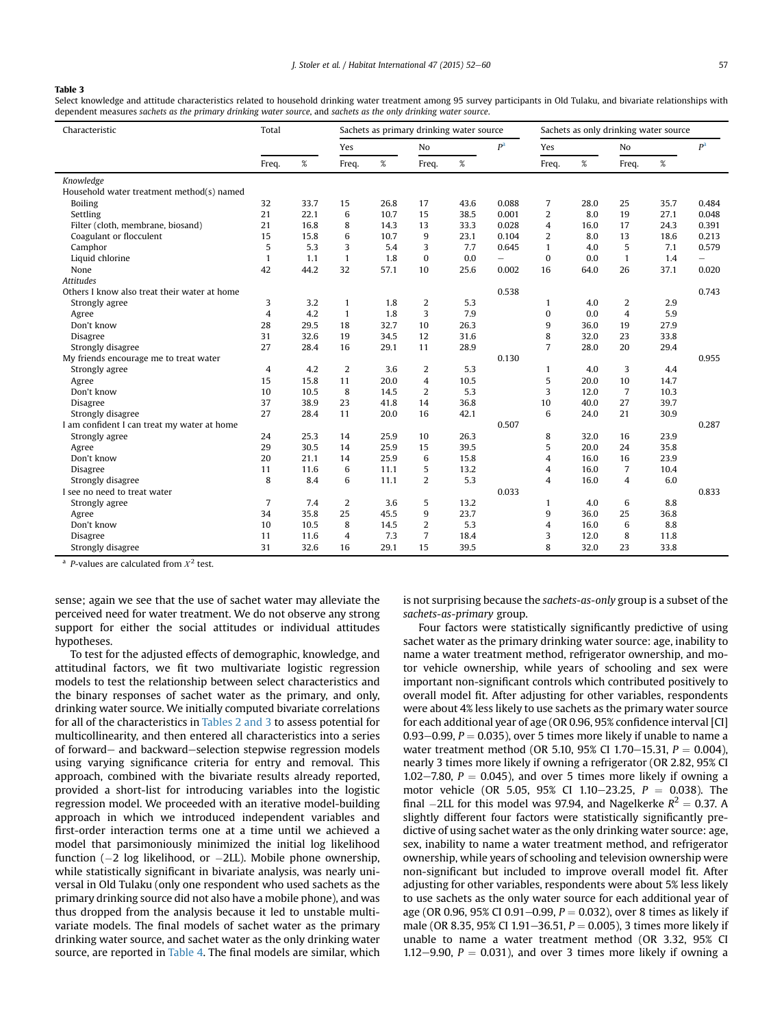## <span id="page-5-0"></span>Table 3

Select knowledge and attitude characteristics related to household drinking water treatment among 95 survey participants in Old Tulaku, and bivariate relationships with dependent measures sachets as the primary drinking water source, and sachets as the only drinking water source.

| P <sup>a</sup><br>pa<br>Yes<br>No<br>Yes<br>No<br>$\%$<br>$\%$<br>%<br>$\%$<br>$\%$<br>Freq.<br>Freq.<br>Freq.<br>Freq.<br>Freq.<br>Knowledge<br>Household water treatment method(s) named |  |
|--------------------------------------------------------------------------------------------------------------------------------------------------------------------------------------------|--|
|                                                                                                                                                                                            |  |
|                                                                                                                                                                                            |  |
|                                                                                                                                                                                            |  |
|                                                                                                                                                                                            |  |
| 32<br>33.7<br>26.8<br>43.6<br>0.088<br>7<br>28.0<br>25<br>35.7<br>0.484<br><b>Boiling</b><br>15<br>17                                                                                      |  |
| $\overline{2}$<br>21<br>6<br>38.5<br>0.001<br>8.0<br>19<br>27.1<br>22.1<br>10.7<br>15<br>0.048<br>Settling                                                                                 |  |
| Filter (cloth, membrane, biosand)<br>21<br>16.8<br>8<br>14.3<br>13<br>33.3<br>0.028<br>16.0<br>17<br>24.3<br>0.391<br>$\overline{4}$                                                       |  |
| 15<br>15.8<br>6<br>10.7<br>9<br>23.1<br>0.104<br>$\overline{2}$<br>8.0<br>13<br>18.6<br>Coagulant or flocculent<br>0.213                                                                   |  |
| 5<br>5.3<br>3<br>5.4<br>3<br>7.7<br>0.645<br>$\mathbf{1}$<br>4.0<br>5<br>7.1<br>0.579<br>Camphor                                                                                           |  |
| $\mathbf{0}$<br>Liquid chlorine<br>$\mathbf{1}$<br>1.1<br>$\mathbf{1}$<br>1.8<br>0.0<br>$\bf{0}$<br>0.0<br>$\mathbf{1}$<br>1.4<br>$\overline{\phantom{0}}$                                 |  |
| 32<br>37.1<br>42<br>57.1<br>10<br>16<br>26<br>44.2<br>25.6<br>0.002<br>64.0<br>0.020<br>None                                                                                               |  |
| <b>Attitudes</b>                                                                                                                                                                           |  |
| Others I know also treat their water at home<br>0.538<br>0.743                                                                                                                             |  |
| 3<br>3.2<br>2<br>5.3<br>2.9<br>Strongly agree<br>1.8<br>4.0<br>2<br>$\mathbf{1}$<br>1                                                                                                      |  |
| $\overline{4}$<br>3<br>4.2<br>1.8<br>7.9<br>$\bf{0}$<br>0.0<br>$\overline{4}$<br>5.9<br>$\mathbf{1}$<br>Agree                                                                              |  |
| Don't know<br>18<br>32.7<br>10<br>26.3<br>27.9<br>28<br>29.5<br>9<br>36.0<br>19                                                                                                            |  |
| 8<br>23<br>31<br>32.6<br>19<br>34.5<br>12<br>31.6<br>32.0<br>33.8<br>Disagree                                                                                                              |  |
| $\overline{7}$<br>27<br>28.4<br>16<br>11<br>28.9<br>28.0<br>20<br>29.1<br>29.4<br>Strongly disagree                                                                                        |  |
| 0.130<br>My friends encourage me to treat water<br>0.955                                                                                                                                   |  |
| 4.2<br>$\overline{2}$<br>2<br>5.3<br>3<br>$\overline{4}$<br>3.6<br>Strongly agree<br>4.0<br>4.4<br>1                                                                                       |  |
| $\overline{4}$<br>15<br>15.8<br>11<br>10.5<br>5<br>10<br>20.0<br>20.0<br>14.7<br>Agree                                                                                                     |  |
| 2<br>5.3<br>3<br>$\overline{7}$<br>Don't know<br>10<br>8<br>14.5<br>10.3<br>10.5<br>12.0                                                                                                   |  |
| 37<br>38.9<br>23<br>41.8<br>14<br>36.8<br>27<br>10<br>40.0<br>39.7<br>Disagree                                                                                                             |  |
| 6<br>21<br>30.9<br>Strongly disagree<br>27<br>28.4<br>11<br>20.0<br>16<br>42.1<br>24.0                                                                                                     |  |
| 0.287<br>I am confident I can treat my water at home<br>0.507                                                                                                                              |  |
| 24<br>25.3<br>25.9<br>26.3<br>8<br>32.0<br>23.9<br>Strongly agree<br>14<br>10<br>16                                                                                                        |  |
| 29<br>30.5<br>25.9<br>15<br>39.5<br>5<br>20.0<br>24<br>35.8<br>14<br>Agree                                                                                                                 |  |
| 6<br>16<br>Don't know<br>20<br>21.1<br>14<br>25.9<br>15.8<br>16.0<br>23.9<br>4                                                                                                             |  |
| 11<br>11.6<br>6<br>5<br>13.2<br>16.0<br>10.4<br>11.1<br>4<br>7<br>Disagree                                                                                                                 |  |
| $\overline{2}$<br>8<br>6<br>5.3<br>$\overline{4}$<br>6.0<br>8.4<br>11.1<br>4<br>16.0<br>Strongly disagree                                                                                  |  |
| 0.033<br>0.833<br>I see no need to treat water                                                                                                                                             |  |
| 2<br>$\overline{7}$<br>3.6<br>5<br>13.2<br>6<br>8.8<br>7.4<br>4.0<br>Strongly agree<br>1                                                                                                   |  |
| 9<br>35.8<br>25<br>25<br>36.8<br>34<br>45.5<br>23.7<br>9<br>36.0<br>Agree                                                                                                                  |  |
| $\overline{2}$<br>5.3<br>8.8<br>Don't know<br>10<br>10.5<br>8<br>14.5<br>16.0<br>6<br>4                                                                                                    |  |
| 7.3<br>$\overline{7}$<br>3<br>8<br>Disagree<br>11<br>11.6<br>4<br>18.4<br>12.0<br>11.8                                                                                                     |  |
| 15<br>31<br>32.6<br>16<br>29.1<br>39.5<br>8<br>32.0<br>23<br>33.8<br>Strongly disagree                                                                                                     |  |

<sup>a</sup> P-values are calculated from  $X^2$  test.

sense; again we see that the use of sachet water may alleviate the perceived need for water treatment. We do not observe any strong support for either the social attitudes or individual attitudes hypotheses.

To test for the adjusted effects of demographic, knowledge, and attitudinal factors, we fit two multivariate logistic regression models to test the relationship between select characteristics and the binary responses of sachet water as the primary, and only, drinking water source. We initially computed bivariate correlations for all of the characteristics in [Tables 2 and 3](#page-4-0) to assess potential for multicollinearity, and then entered all characteristics into a series of forward- and backward-selection stepwise regression models using varying significance criteria for entry and removal. This approach, combined with the bivariate results already reported, provided a short-list for introducing variables into the logistic regression model. We proceeded with an iterative model-building approach in which we introduced independent variables and first-order interaction terms one at a time until we achieved a model that parsimoniously minimized the initial log likelihood function (-2 log likelihood, or -2LL). Mobile phone ownership, while statistically significant in bivariate analysis, was nearly universal in Old Tulaku (only one respondent who used sachets as the primary drinking source did not also have a mobile phone), and was thus dropped from the analysis because it led to unstable multivariate models. The final models of sachet water as the primary drinking water source, and sachet water as the only drinking water source, are reported in [Table 4.](#page-6-0) The final models are similar, which is not surprising because the sachets-as-only group is a subset of the sachets-as-primary group.

Four factors were statistically significantly predictive of using sachet water as the primary drinking water source: age, inability to name a water treatment method, refrigerator ownership, and motor vehicle ownership, while years of schooling and sex were important non-significant controls which contributed positively to overall model fit. After adjusting for other variables, respondents were about 4% less likely to use sachets as the primary water source for each additional year of age (OR 0.96, 95% confidence interval [CI] 0.93–0.99,  $P = 0.035$ ), over 5 times more likely if unable to name a water treatment method (OR 5.10, 95% CI 1.70–15.31,  $P = 0.004$ ), nearly 3 times more likely if owning a refrigerator (OR 2.82, 95% CI 1.02–7.80,  $P = 0.045$ ), and over 5 times more likely if owning a motor vehicle (OR 5.05, 95% CI 1.10-23.25,  $P = 0.038$ ). The final  $-2LL$  for this model was 97.94, and Nagelkerke  $R^2 = 0.37$ . A slightly different four factors were statistically significantly predictive of using sachet water as the only drinking water source: age, sex, inability to name a water treatment method, and refrigerator ownership, while years of schooling and television ownership were non-significant but included to improve overall model fit. After adjusting for other variables, respondents were about 5% less likely to use sachets as the only water source for each additional year of age (OR 0.96, 95% CI 0.91–0.99,  $P = 0.032$ ), over 8 times as likely if male (OR 8.35, 95% CI 1.91–36.51,  $P = 0.005$ ), 3 times more likely if unable to name a water treatment method (OR 3.32, 95% CI 1.12–9.90,  $P = 0.031$ ), and over 3 times more likely if owning a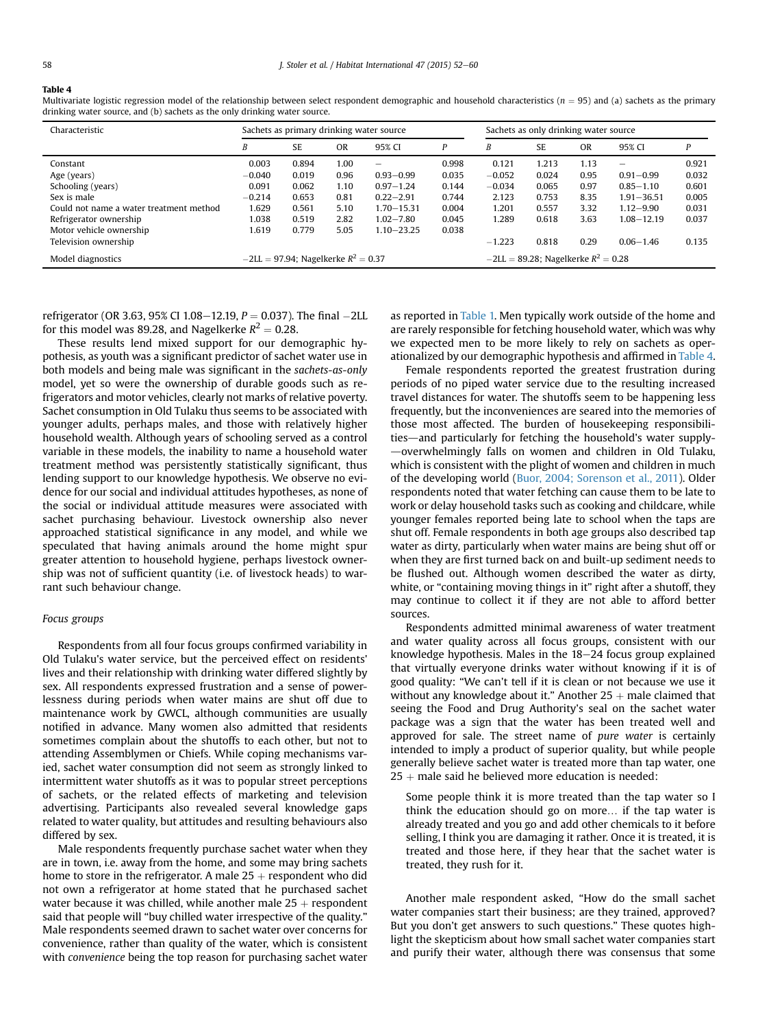#### <span id="page-6-0"></span>Table 4

Multivariate logistic regression model of the relationship between select respondent demographic and household characteristics ( $n = 95$ ) and (a) sachets as the primary drinking water source, and (b) sachets as the only drinking water source.

| Characteristic                          | Sachets as primary drinking water source |           |           |                          | Sachets as only drinking water source    |          |           |           |                |       |
|-----------------------------------------|------------------------------------------|-----------|-----------|--------------------------|------------------------------------------|----------|-----------|-----------|----------------|-------|
|                                         | B                                        | <b>SE</b> | <b>OR</b> | 95% CI                   | P                                        | B        | <b>SE</b> | <b>OR</b> | 95% CI         |       |
| Constant                                | 0.003                                    | 0.894     | 1.00      | $\overline{\phantom{0}}$ | 0.998                                    | 0.121    | 1.213     | 1.13      | $\equiv$       | 0.921 |
| Age (years)                             | $-0.040$                                 | 0.019     | 0.96      | $0.93 - 0.99$            | 0.035                                    | $-0.052$ | 0.024     | 0.95      | $0.91 - 0.99$  | 0.032 |
| Schooling (years)                       | 0.091                                    | 0.062     | 1.10      | $0.97 - 1.24$            | 0.144                                    | $-0.034$ | 0.065     | 0.97      | $0.85 - 1.10$  | 0.601 |
| Sex is male                             | $-0.214$                                 | 0.653     | 0.81      | $0.22 - 2.91$            | 0.744                                    | 2.123    | 0.753     | 8.35      | $1.91 - 36.51$ | 0.005 |
| Could not name a water treatment method | 1.629                                    | 0.561     | 5.10      | $1.70 - 15.31$           | 0.004                                    | 1.201    | 0.557     | 3.32      | $1.12 - 9.90$  | 0.031 |
| Refrigerator ownership                  | 1.038                                    | 0.519     | 2.82      | $1.02 - 7.80$            | 0.045                                    | 1.289    | 0.618     | 3.63      | 1.08-12.19     | 0.037 |
| Motor vehicle ownership                 | 1.619                                    | 0.779     | 5.05      | $1.10 - 23.25$           | 0.038                                    |          |           |           |                |       |
| Television ownership                    |                                          |           |           |                          |                                          | $-1.223$ | 0.818     | 0.29      | $0.06 - 1.46$  | 0.135 |
| Model diagnostics                       | $-2LL = 97.94$ ; Nagelkerke $R^2 = 0.37$ |           |           |                          | $-2LL = 89.28$ ; Nagelkerke $R^2 = 0.28$ |          |           |           |                |       |

refrigerator (OR 3.63, 95% CI 1.08–12.19,  $P = 0.037$ ). The final -2LL for this model was 89.28, and Nagelkerke  $R^2 = 0.28$ .

These results lend mixed support for our demographic hypothesis, as youth was a significant predictor of sachet water use in both models and being male was significant in the sachets-as-only model, yet so were the ownership of durable goods such as refrigerators and motor vehicles, clearly not marks of relative poverty. Sachet consumption in Old Tulaku thus seems to be associated with younger adults, perhaps males, and those with relatively higher household wealth. Although years of schooling served as a control variable in these models, the inability to name a household water treatment method was persistently statistically significant, thus lending support to our knowledge hypothesis. We observe no evidence for our social and individual attitudes hypotheses, as none of the social or individual attitude measures were associated with sachet purchasing behaviour. Livestock ownership also never approached statistical significance in any model, and while we speculated that having animals around the home might spur greater attention to household hygiene, perhaps livestock ownership was not of sufficient quantity (i.e. of livestock heads) to warrant such behaviour change.

# Focus groups

Respondents from all four focus groups confirmed variability in Old Tulaku's water service, but the perceived effect on residents' lives and their relationship with drinking water differed slightly by sex. All respondents expressed frustration and a sense of powerlessness during periods when water mains are shut off due to maintenance work by GWCL, although communities are usually notified in advance. Many women also admitted that residents sometimes complain about the shutoffs to each other, but not to attending Assemblymen or Chiefs. While coping mechanisms varied, sachet water consumption did not seem as strongly linked to intermittent water shutoffs as it was to popular street perceptions of sachets, or the related effects of marketing and television advertising. Participants also revealed several knowledge gaps related to water quality, but attitudes and resulting behaviours also differed by sex.

Male respondents frequently purchase sachet water when they are in town, i.e. away from the home, and some may bring sachets home to store in the refrigerator. A male  $25 +$  respondent who did not own a refrigerator at home stated that he purchased sachet water because it was chilled, while another male  $25 +$  respondent said that people will "buy chilled water irrespective of the quality." Male respondents seemed drawn to sachet water over concerns for convenience, rather than quality of the water, which is consistent with convenience being the top reason for purchasing sachet water as reported in [Table 1.](#page-3-0) Men typically work outside of the home and are rarely responsible for fetching household water, which was why we expected men to be more likely to rely on sachets as operationalized by our demographic hypothesis and affirmed in Table 4.

Female respondents reported the greatest frustration during periods of no piped water service due to the resulting increased travel distances for water. The shutoffs seem to be happening less frequently, but the inconveniences are seared into the memories of those most affected. The burden of housekeeping responsibilities—and particularly for fetching the household's water supplyoverwhelmingly falls on women and children in Old Tulaku, which is consistent with the plight of women and children in much of the developing world [\(Buor, 2004; Sorenson et al., 2011](#page-8-0)). Older respondents noted that water fetching can cause them to be late to work or delay household tasks such as cooking and childcare, while younger females reported being late to school when the taps are shut off. Female respondents in both age groups also described tap water as dirty, particularly when water mains are being shut off or when they are first turned back on and built-up sediment needs to be flushed out. Although women described the water as dirty, white, or "containing moving things in it" right after a shutoff, they may continue to collect it if they are not able to afford better sources.

Respondents admitted minimal awareness of water treatment and water quality across all focus groups, consistent with our knowledge hypothesis. Males in the  $18-24$  focus group explained that virtually everyone drinks water without knowing if it is of good quality: "We can't tell if it is clean or not because we use it without any knowledge about it." Another  $25 +$  male claimed that seeing the Food and Drug Authority's seal on the sachet water package was a sign that the water has been treated well and approved for sale. The street name of pure water is certainly intended to imply a product of superior quality, but while people generally believe sachet water is treated more than tap water, one  $25 +$  male said he believed more education is needed:

Some people think it is more treated than the tap water so I think the education should go on more… if the tap water is already treated and you go and add other chemicals to it before selling, I think you are damaging it rather. Once it is treated, it is treated and those here, if they hear that the sachet water is treated, they rush for it.

Another male respondent asked, "How do the small sachet water companies start their business; are they trained, approved? But you don't get answers to such questions." These quotes highlight the skepticism about how small sachet water companies start and purify their water, although there was consensus that some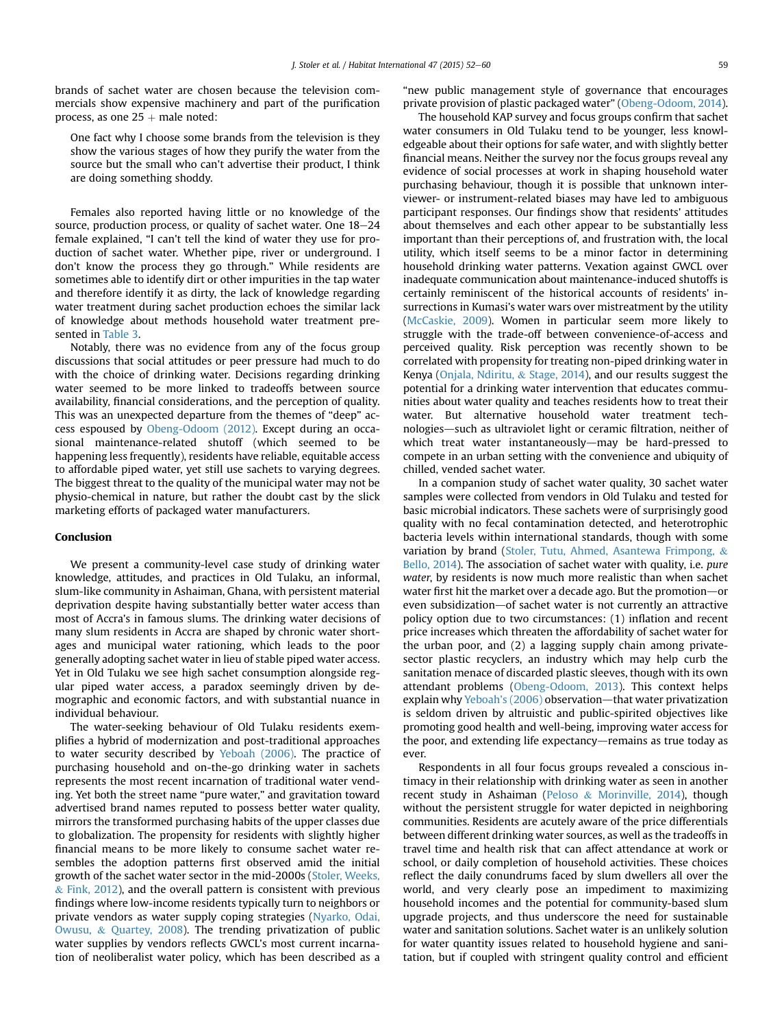brands of sachet water are chosen because the television commercials show expensive machinery and part of the purification process, as one  $25 +$  male noted:

One fact why I choose some brands from the television is they show the various stages of how they purify the water from the source but the small who can't advertise their product, I think are doing something shoddy.

Females also reported having little or no knowledge of the source, production process, or quality of sachet water. One  $18-24$ female explained, "I can't tell the kind of water they use for production of sachet water. Whether pipe, river or underground. I don't know the process they go through." While residents are sometimes able to identify dirt or other impurities in the tap water and therefore identify it as dirty, the lack of knowledge regarding water treatment during sachet production echoes the similar lack of knowledge about methods household water treatment presented in [Table 3.](#page-5-0)

Notably, there was no evidence from any of the focus group discussions that social attitudes or peer pressure had much to do with the choice of drinking water. Decisions regarding drinking water seemed to be more linked to tradeoffs between source availability, financial considerations, and the perception of quality. This was an unexpected departure from the themes of "deep" access espoused by [Obeng-Odoom \(2012\)](#page-8-0). Except during an occasional maintenance-related shutoff (which seemed to be happening less frequently), residents have reliable, equitable access to affordable piped water, yet still use sachets to varying degrees. The biggest threat to the quality of the municipal water may not be physio-chemical in nature, but rather the doubt cast by the slick marketing efforts of packaged water manufacturers.

## Conclusion

We present a community-level case study of drinking water knowledge, attitudes, and practices in Old Tulaku, an informal, slum-like community in Ashaiman, Ghana, with persistent material deprivation despite having substantially better water access than most of Accra's in famous slums. The drinking water decisions of many slum residents in Accra are shaped by chronic water shortages and municipal water rationing, which leads to the poor generally adopting sachet water in lieu of stable piped water access. Yet in Old Tulaku we see high sachet consumption alongside regular piped water access, a paradox seemingly driven by demographic and economic factors, and with substantial nuance in individual behaviour.

The water-seeking behaviour of Old Tulaku residents exemplifies a hybrid of modernization and post-traditional approaches to water security described by [Yeboah \(2006\)](#page-8-0). The practice of purchasing household and on-the-go drinking water in sachets represents the most recent incarnation of traditional water vending. Yet both the street name "pure water," and gravitation toward advertised brand names reputed to possess better water quality, mirrors the transformed purchasing habits of the upper classes due to globalization. The propensity for residents with slightly higher financial means to be more likely to consume sachet water resembles the adoption patterns first observed amid the initial growth of the sachet water sector in the mid-2000s [\(Stoler, Weeks,](#page-8-0)  $&$  [Fink, 2012](#page-8-0)), and the overall pattern is consistent with previous findings where low-income residents typically turn to neighbors or private vendors as water supply coping strategies ([Nyarko, Odai,](#page-8-0) [Owusu,](#page-8-0) & [Quartey, 2008](#page-8-0)). The trending privatization of public water supplies by vendors reflects GWCL's most current incarnation of neoliberalist water policy, which has been described as a

"new public management style of governance that encourages private provision of plastic packaged water" [\(Obeng-Odoom, 2014\)](#page-8-0).

The household KAP survey and focus groups confirm that sachet water consumers in Old Tulaku tend to be younger, less knowledgeable about their options for safe water, and with slightly better financial means. Neither the survey nor the focus groups reveal any evidence of social processes at work in shaping household water purchasing behaviour, though it is possible that unknown interviewer- or instrument-related biases may have led to ambiguous participant responses. Our findings show that residents' attitudes about themselves and each other appear to be substantially less important than their perceptions of, and frustration with, the local utility, which itself seems to be a minor factor in determining household drinking water patterns. Vexation against GWCL over inadequate communication about maintenance-induced shutoffs is certainly reminiscent of the historical accounts of residents' insurrections in Kumasi's water wars over mistreatment by the utility ([McCaskie, 2009\)](#page-8-0). Women in particular seem more likely to struggle with the trade-off between convenience-of-access and perceived quality. Risk perception was recently shown to be correlated with propensity for treating non-piped drinking water in Kenya ([Onjala, Ndiritu,](#page-8-0) & [Stage, 2014\)](#page-8-0), and our results suggest the potential for a drinking water intervention that educates communities about water quality and teaches residents how to treat their water. But alternative household water treatment technologies-such as ultraviolet light or ceramic filtration, neither of which treat water instantaneously-may be hard-pressed to compete in an urban setting with the convenience and ubiquity of chilled, vended sachet water.

In a companion study of sachet water quality, 30 sachet water samples were collected from vendors in Old Tulaku and tested for basic microbial indicators. These sachets were of surprisingly good quality with no fecal contamination detected, and heterotrophic bacteria levels within international standards, though with some variation by brand ([Stoler, Tutu, Ahmed, Asantewa Frimpong,](#page-8-0) & [Bello, 2014\)](#page-8-0). The association of sachet water with quality, i.e. pure water, by residents is now much more realistic than when sachet water first hit the market over a decade ago. But the promotion—or even subsidization-of sachet water is not currently an attractive policy option due to two circumstances: (1) inflation and recent price increases which threaten the affordability of sachet water for the urban poor, and (2) a lagging supply chain among privatesector plastic recyclers, an industry which may help curb the sanitation menace of discarded plastic sleeves, though with its own attendant problems [\(Obeng-Odoom, 2013\)](#page-8-0). This context helps explain why [Yeboah's \(2006\)](#page-8-0) observation-that water privatization is seldom driven by altruistic and public-spirited objectives like promoting good health and well-being, improving water access for the poor, and extending life expectancy—remains as true today as ever.

Respondents in all four focus groups revealed a conscious intimacy in their relationship with drinking water as seen in another recent study in Ashaiman [\(Peloso](#page-8-0) & [Morinville, 2014\)](#page-8-0), though without the persistent struggle for water depicted in neighboring communities. Residents are acutely aware of the price differentials between different drinking water sources, as well as the tradeoffs in travel time and health risk that can affect attendance at work or school, or daily completion of household activities. These choices reflect the daily conundrums faced by slum dwellers all over the world, and very clearly pose an impediment to maximizing household incomes and the potential for community-based slum upgrade projects, and thus underscore the need for sustainable water and sanitation solutions. Sachet water is an unlikely solution for water quantity issues related to household hygiene and sanitation, but if coupled with stringent quality control and efficient